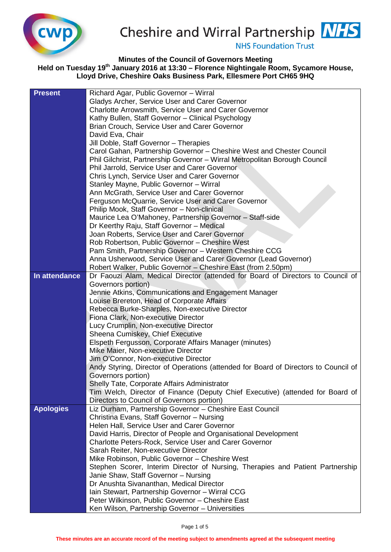



**NHS Foundation Trust** 

**Minutes of the Council of Governors Meeting**

**Held on Tuesday 19th January 2016 at 13:30 – Florence Nightingale Room, Sycamore House, Lloyd Drive, Cheshire Oaks Business Park, Ellesmere Port CH65 9HQ**

| <b>Present</b>   | Richard Agar, Public Governor - Wirral                                              |  |  |  |  |
|------------------|-------------------------------------------------------------------------------------|--|--|--|--|
|                  | Gladys Archer, Service User and Carer Governor                                      |  |  |  |  |
|                  | Charlotte Arrowsmith, Service User and Carer Governor                               |  |  |  |  |
|                  | Kathy Bullen, Staff Governor - Clinical Psychology                                  |  |  |  |  |
|                  | Brian Crouch, Service User and Carer Governor                                       |  |  |  |  |
|                  | David Eva, Chair                                                                    |  |  |  |  |
|                  | Jill Doble, Staff Governor - Therapies                                              |  |  |  |  |
|                  | Carol Gahan, Partnership Governor - Cheshire West and Chester Council               |  |  |  |  |
|                  | Phil Gilchrist, Partnership Governor - Wirral Metropolitan Borough Council          |  |  |  |  |
|                  | Phil Jarrold, Service User and Carer Governor                                       |  |  |  |  |
|                  | Chris Lynch, Service User and Carer Governor                                        |  |  |  |  |
|                  | Stanley Mayne, Public Governor - Wirral                                             |  |  |  |  |
|                  | Ann McGrath, Service User and Carer Governor                                        |  |  |  |  |
|                  | Ferguson McQuarrie, Service User and Carer Governor                                 |  |  |  |  |
|                  | Philip Mook, Staff Governor - Non-clinical                                          |  |  |  |  |
|                  | Maurice Lea O'Mahoney, Partnership Governor - Staff-side                            |  |  |  |  |
|                  | Dr Keerthy Raju, Staff Governor - Medical                                           |  |  |  |  |
|                  | Joan Roberts, Service User and Carer Governor                                       |  |  |  |  |
|                  | Rob Robertson, Public Governor - Cheshire West                                      |  |  |  |  |
|                  | Pam Smith, Partnership Governor - Western Cheshire CCG                              |  |  |  |  |
|                  | Anna Usherwood, Service User and Carer Governor (Lead Governor)                     |  |  |  |  |
|                  | Robert Walker, Public Governor - Cheshire East (from 2.50pm)                        |  |  |  |  |
| In attendance    | Dr Faouzi Alam, Medical Director (attended for Board of Directors to Council of     |  |  |  |  |
|                  | Governors portion)                                                                  |  |  |  |  |
|                  | Jennie Atkins, Communications and Engagement Manager                                |  |  |  |  |
|                  | Louise Brereton, Head of Corporate Affairs                                          |  |  |  |  |
|                  | Rebecca Burke-Sharples, Non-executive Director                                      |  |  |  |  |
|                  | Fiona Clark, Non-executive Director                                                 |  |  |  |  |
|                  | Lucy Crumplin, Non-executive Director                                               |  |  |  |  |
|                  | Sheena Cumiskey, Chief Executive                                                    |  |  |  |  |
|                  | Elspeth Fergusson, Corporate Affairs Manager (minutes)                              |  |  |  |  |
|                  | Mike Maier, Non-executive Director                                                  |  |  |  |  |
|                  | Jim O'Connor, Non-executive Director                                                |  |  |  |  |
|                  | Andy Styring, Director of Operations (attended for Board of Directors to Council of |  |  |  |  |
|                  | Governors portion)                                                                  |  |  |  |  |
|                  | Shelly Tate, Corporate Affairs Administrator                                        |  |  |  |  |
|                  | Tim Welch, Director of Finance (Deputy Chief Executive) (attended for Board of      |  |  |  |  |
|                  | Directors to Council of Governors portion)                                          |  |  |  |  |
| <b>Apologies</b> | Liz Durham, Partnership Governor - Cheshire East Council                            |  |  |  |  |
|                  | Christina Evans, Staff Governor - Nursing                                           |  |  |  |  |
|                  | Helen Hall, Service User and Carer Governor                                         |  |  |  |  |
|                  | David Harris, Director of People and Organisational Development                     |  |  |  |  |
|                  | Charlotte Peters-Rock, Service User and Carer Governor                              |  |  |  |  |
|                  | Sarah Reiter, Non-executive Director                                                |  |  |  |  |
|                  | Mike Robinson, Public Governor - Cheshire West                                      |  |  |  |  |
|                  | Stephen Scorer, Interim Director of Nursing, Therapies and Patient Partnership      |  |  |  |  |
|                  | Janie Shaw, Staff Governor - Nursing                                                |  |  |  |  |
|                  | Dr Anushta Sivananthan, Medical Director                                            |  |  |  |  |
|                  | Iain Stewart, Partnership Governor - Wirral CCG                                     |  |  |  |  |
|                  | Peter Wilkinson, Public Governor - Cheshire East                                    |  |  |  |  |
|                  | Ken Wilson, Partnership Governor - Universities                                     |  |  |  |  |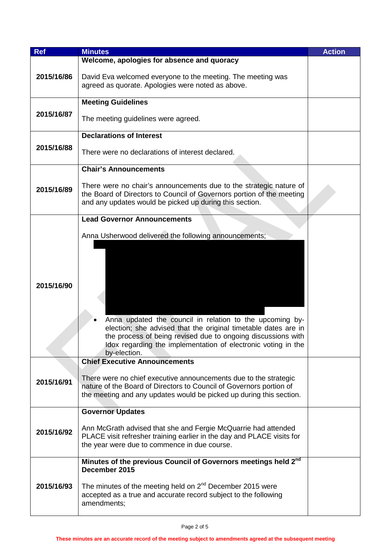| <b>Ref</b> | <b>Minutes</b>                                                                                                                                                                                                  | <b>Action</b> |
|------------|-----------------------------------------------------------------------------------------------------------------------------------------------------------------------------------------------------------------|---------------|
|            | Welcome, apologies for absence and quoracy                                                                                                                                                                      |               |
| 2015/16/86 | David Eva welcomed everyone to the meeting. The meeting was<br>agreed as quorate. Apologies were noted as above.                                                                                                |               |
|            | <b>Meeting Guidelines</b>                                                                                                                                                                                       |               |
| 2015/16/87 | The meeting guidelines were agreed.                                                                                                                                                                             |               |
|            | <b>Declarations of Interest</b>                                                                                                                                                                                 |               |
| 2015/16/88 | There were no declarations of interest declared.                                                                                                                                                                |               |
|            | <b>Chair's Announcements</b>                                                                                                                                                                                    |               |
| 2015/16/89 | There were no chair's announcements due to the strategic nature of<br>the Board of Directors to Council of Governors portion of the meeting<br>and any updates would be picked up during this section.          |               |
|            | <b>Lead Governor Announcements</b>                                                                                                                                                                              |               |
|            |                                                                                                                                                                                                                 |               |
|            | Anna Usherwood delivered the following announcements;                                                                                                                                                           |               |
| 2015/16/90 | Anna updated the council in relation to the upcoming by-                                                                                                                                                        |               |
|            | election; she advised that the original timetable dates are in<br>the process of being revised due to ongoing discussions with<br>Idox regarding the implementation of electronic voting in the<br>by-election. |               |
|            | <b>Chief Executive Announcements</b>                                                                                                                                                                            |               |
| 2015/16/91 | There were no chief executive announcements due to the strategic<br>nature of the Board of Directors to Council of Governors portion of<br>the meeting and any updates would be picked up during this section.  |               |
|            | <b>Governor Updates</b>                                                                                                                                                                                         |               |
| 2015/16/92 | Ann McGrath advised that she and Fergie McQuarrie had attended<br>PLACE visit refresher training earlier in the day and PLACE visits for<br>the year were due to commence in due course.                        |               |
|            | Minutes of the previous Council of Governors meetings held 2nd<br>December 2015                                                                                                                                 |               |
| 2015/16/93 | The minutes of the meeting held on $2^{nd}$ December 2015 were<br>accepted as a true and accurate record subject to the following<br>amendments;                                                                |               |
|            |                                                                                                                                                                                                                 |               |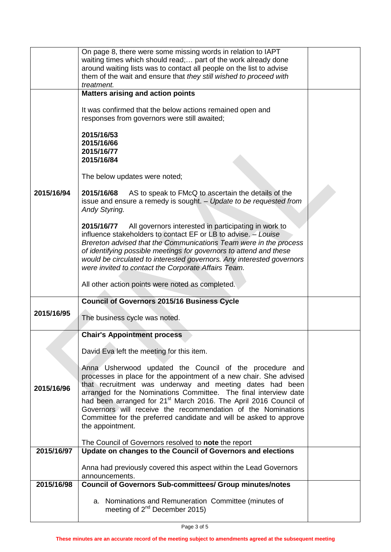|            | On page 8, there were some missing words in relation to IAPT<br>waiting times which should read; part of the work already done<br>around waiting lists was to contact all people on the list to advise<br>them of the wait and ensure that they still wished to proceed with<br>treatment.                                                                                                                                                                                                              |  |
|------------|---------------------------------------------------------------------------------------------------------------------------------------------------------------------------------------------------------------------------------------------------------------------------------------------------------------------------------------------------------------------------------------------------------------------------------------------------------------------------------------------------------|--|
|            | <b>Matters arising and action points</b>                                                                                                                                                                                                                                                                                                                                                                                                                                                                |  |
|            | It was confirmed that the below actions remained open and<br>responses from governors were still awaited;                                                                                                                                                                                                                                                                                                                                                                                               |  |
|            | 2015/16/53<br>2015/16/66<br>2015/16/77<br>2015/16/84                                                                                                                                                                                                                                                                                                                                                                                                                                                    |  |
|            | The below updates were noted;                                                                                                                                                                                                                                                                                                                                                                                                                                                                           |  |
| 2015/16/94 | 2015/16/68<br>AS to speak to FMcQ to ascertain the details of the<br>issue and ensure a remedy is sought. - Update to be requested from<br>Andy Styring.                                                                                                                                                                                                                                                                                                                                                |  |
|            | All governors interested in participating in work to<br>2015/16/77<br>influence stakeholders to contact EF or LB to advise. - Louise<br>Brereton advised that the Communications Team were in the process<br>of identifying possible meetings for governors to attend and these<br>would be circulated to interested governors. Any interested governors<br>were invited to contact the Corporate Affairs Team.                                                                                         |  |
|            | All other action points were noted as completed.                                                                                                                                                                                                                                                                                                                                                                                                                                                        |  |
|            | <b>Council of Governors 2015/16 Business Cycle</b>                                                                                                                                                                                                                                                                                                                                                                                                                                                      |  |
| 2015/16/95 | The business cycle was noted.                                                                                                                                                                                                                                                                                                                                                                                                                                                                           |  |
|            | <b>Chair's Appointment process</b>                                                                                                                                                                                                                                                                                                                                                                                                                                                                      |  |
|            | David Eva left the meeting for this item.                                                                                                                                                                                                                                                                                                                                                                                                                                                               |  |
| 2015/16/96 | Anna Usherwood updated the Council of the procedure and<br>processes in place for the appointment of a new chair. She advised<br>that recruitment was underway and meeting dates had been<br>arranged for the Nominations Committee. The final interview date<br>had been arranged for 21 <sup>st</sup> March 2016. The April 2016 Council of<br>Governors will receive the recommendation of the Nominations<br>Committee for the preferred candidate and will be asked to approve<br>the appointment. |  |
|            | The Council of Governors resolved to note the report                                                                                                                                                                                                                                                                                                                                                                                                                                                    |  |
| 2015/16/97 | Update on changes to the Council of Governors and elections                                                                                                                                                                                                                                                                                                                                                                                                                                             |  |
|            | Anna had previously covered this aspect within the Lead Governors<br>announcements.                                                                                                                                                                                                                                                                                                                                                                                                                     |  |
| 2015/16/98 | <b>Council of Governors Sub-committees/ Group minutes/notes</b>                                                                                                                                                                                                                                                                                                                                                                                                                                         |  |
|            | a. Nominations and Remuneration Committee (minutes of<br>meeting of 2 <sup>nd</sup> December 2015)                                                                                                                                                                                                                                                                                                                                                                                                      |  |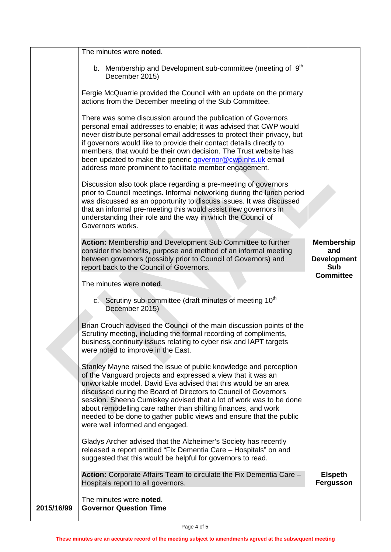|            | The minutes were noted.                                                                                                                                                                                                                                                                                                                                                                                                                                                                                                  |                                                              |
|------------|--------------------------------------------------------------------------------------------------------------------------------------------------------------------------------------------------------------------------------------------------------------------------------------------------------------------------------------------------------------------------------------------------------------------------------------------------------------------------------------------------------------------------|--------------------------------------------------------------|
|            | b. Membership and Development sub-committee (meeting of 9 <sup>th</sup><br>December 2015)                                                                                                                                                                                                                                                                                                                                                                                                                                |                                                              |
|            | Fergie McQuarrie provided the Council with an update on the primary<br>actions from the December meeting of the Sub Committee.                                                                                                                                                                                                                                                                                                                                                                                           |                                                              |
|            | There was some discussion around the publication of Governors<br>personal email addresses to enable; it was advised that CWP would<br>never distribute personal email addresses to protect their privacy, but<br>if governors would like to provide their contact details directly to<br>members, that would be their own decision. The Trust website has<br>been updated to make the generic governor@cwp.nhs.uk email<br>address more prominent to facilitate member engagement.                                       |                                                              |
|            | Discussion also took place regarding a pre-meeting of governors<br>prior to Council meetings. Informal networking during the lunch period<br>was discussed as an opportunity to discuss issues. It was discussed<br>that an informal pre-meeting this would assist new governors in<br>understanding their role and the way in which the Council of<br>Governors works.                                                                                                                                                  |                                                              |
|            | Action: Membership and Development Sub Committee to further<br>consider the benefits, purpose and method of an informal meeting<br>between governors (possibly prior to Council of Governors) and<br>report back to the Council of Governors.                                                                                                                                                                                                                                                                            | <b>Membership</b><br>and<br><b>Development</b><br><b>Sub</b> |
|            | The minutes were noted.                                                                                                                                                                                                                                                                                                                                                                                                                                                                                                  | <b>Committee</b>                                             |
|            | c. Scrutiny sub-committee (draft minutes of meeting 10 <sup>th</sup><br>December 2015)                                                                                                                                                                                                                                                                                                                                                                                                                                   |                                                              |
|            | Brian Crouch advised the Council of the main discussion points of the<br>Scrutiny meeting, including the formal recording of compliments,<br>business continuity issues relating to cyber risk and IAPT targets<br>were noted to improve in the East.                                                                                                                                                                                                                                                                    |                                                              |
|            | Stanley Mayne raised the issue of public knowledge and perception<br>of the Vanguard projects and expressed a view that it was an<br>unworkable model. David Eva advised that this would be an area<br>discussed during the Board of Directors to Council of Governors<br>session. Sheena Cumiskey advised that a lot of work was to be done<br>about remodelling care rather than shifting finances, and work<br>needed to be done to gather public views and ensure that the public<br>were well informed and engaged. |                                                              |
|            | Gladys Archer advised that the Alzheimer's Society has recently<br>released a report entitled "Fix Dementia Care - Hospitals" on and<br>suggested that this would be helpful for governors to read.                                                                                                                                                                                                                                                                                                                      |                                                              |
|            | Action: Corporate Affairs Team to circulate the Fix Dementia Care -<br>Hospitals report to all governors.                                                                                                                                                                                                                                                                                                                                                                                                                | <b>Elspeth</b><br><b>Fergusson</b>                           |
|            | The minutes were noted.                                                                                                                                                                                                                                                                                                                                                                                                                                                                                                  |                                                              |
| 2015/16/99 | <b>Governor Question Time</b>                                                                                                                                                                                                                                                                                                                                                                                                                                                                                            |                                                              |